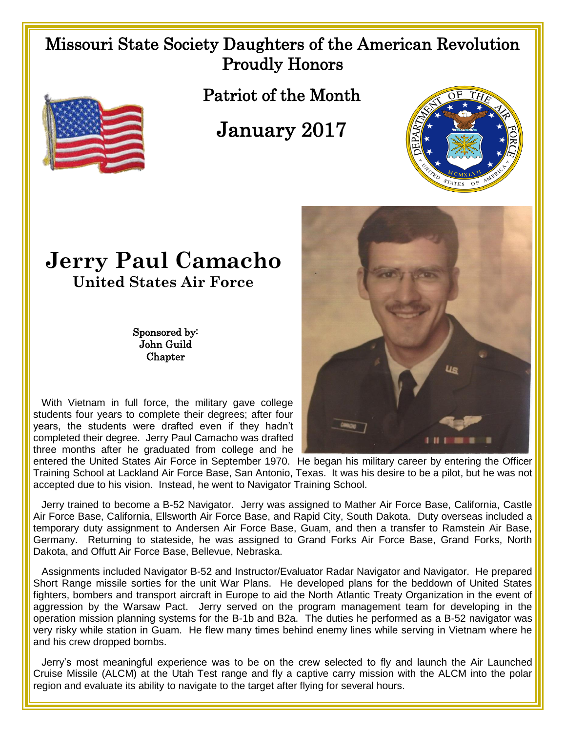## Missouri State Society Daughters of the American Revolution Proudly Honors

Patriot of the Month

## January 2017



## **Jerry Paul Camacho United States Air Force**

Sponsored by: John Guild **Chapter** 

 With Vietnam in full force, the military gave college students four years to complete their degrees; after four years, the students were drafted even if they hadn't completed their degree. Jerry Paul Camacho was drafted three months after he graduated from college and he

entered the United States Air Force in September 1970. He began his military career by entering the Officer Training School at Lackland Air Force Base, San Antonio, Texas. It was his desire to be a pilot, but he was not accepted due to his vision. Instead, he went to Navigator Training School.

 Jerry trained to become a B-52 Navigator. Jerry was assigned to Mather Air Force Base, California, Castle Air Force Base, California, Ellsworth Air Force Base, and Rapid City, South Dakota. Duty overseas included a temporary duty assignment to Andersen Air Force Base, Guam, and then a transfer to Ramstein Air Base, Germany. Returning to stateside, he was assigned to Grand Forks Air Force Base, Grand Forks, North Dakota, and Offutt Air Force Base, Bellevue, Nebraska.

 Assignments included Navigator B-52 and Instructor/Evaluator Radar Navigator and Navigator. He prepared Short Range missile sorties for the unit War Plans. He developed plans for the beddown of United States fighters, bombers and transport aircraft in Europe to aid the North Atlantic Treaty Organization in the event of aggression by the Warsaw Pact. Jerry served on the program management team for developing in the operation mission planning systems for the B-1b and B2a. The duties he performed as a B-52 navigator was very risky while station in Guam. He flew many times behind enemy lines while serving in Vietnam where he and his crew dropped bombs.

 Jerry's most meaningful experience was to be on the crew selected to fly and launch the Air Launched Cruise Missile (ALCM) at the Utah Test range and fly a captive carry mission with the ALCM into the polar region and evaluate its ability to navigate to the target after flying for several hours.